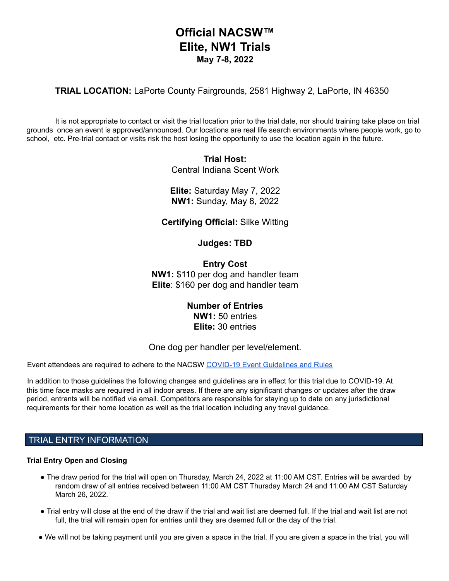# **Official NACSW™ Elite, NW1 Trials May 7-8, 2022**

**TRIAL LOCATION:** LaPorte County Fairgrounds, 2581 Highway 2, LaPorte, IN 46350

It is not appropriate to contact or visit the trial location prior to the trial date, nor should training take place on trial grounds once an event is approved/announced. Our locations are real life search environments where people work, go to school, etc. Pre-trial contact or visits risk the host losing the opportunity to use the location again in the future.

## **Trial Host:** Central Indiana Scent Work

**Elite:** Saturday May 7, 2022 **NW1:** Sunday, May 8, 2022

**Certifying Official:** Silke Witting

**Judges: TBD**

**Entry Cost NW1:** \$110 per dog and handler team **Elite**: \$160 per dog and handler team

> **Number of Entries NW1:** 50 entries **Elite:** 30 entries

One dog per handler per level/element.

Event attendees are required to adhere to the NACSW COVID-19 Event Guidelines and Rules

In addition to those guidelines the following changes and guidelines are in effect for this trial due to COVID-19. At this time face masks are required in all indoor areas. If there are any significant changes or updates after the draw period, entrants will be notified via email. Competitors are responsible for staying up to date on any jurisdictional requirements for their home location as well as the trial location including any travel guidance.

## TRIAL ENTRY INFORMATION

### **Trial Entry Open and Closing**

- The draw period for the trial will open on Thursday, March 24, 2022 at 11:00 AM CST. Entries will be awarded by random draw of all entries received between 11:00 AM CST Thursday March 24 and 11:00 AM CST Saturday March 26, 2022.
- Trial entry will close at the end of the draw if the trial and wait list are deemed full. If the trial and wait list are not full, the trial will remain open for entries until they are deemed full or the day of the trial.
- We will not be taking payment until you are given a space in the trial. If you are given a space in the trial, you will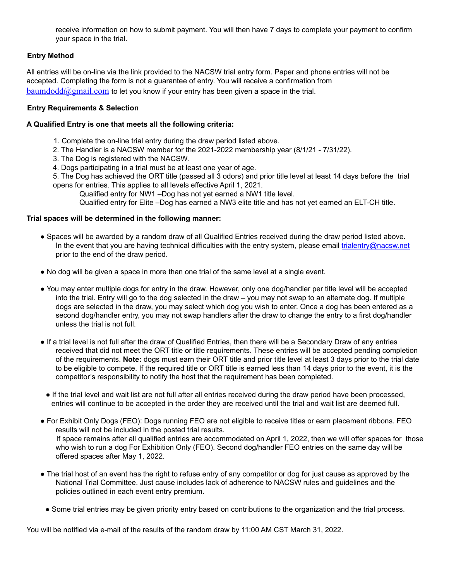receive information on how to submit payment. You will then have 7 days to complete your payment to confirm your space in the trial.

## **Entry Method**

All entries will be on-line via the link provided to the NACSW trial entry form. Paper and phone entries will not be accepted. Completing the form is not a guarantee of entry. You will receive a confirmation from  $\text{baumdodd}(\partial \Omega)$  com to let you know if your entry has been given a space in the trial.

### **Entry Requirements & Selection**

#### **A Qualified Entry is one that meets all the following criteria:**

- 1. Complete the on-line trial entry during the draw period listed above.
- 2. The Handler is a NACSW member for the 2021-2022 membership year (8/1/21 7/31/22).
- 3. The Dog is registered with the NACSW.
- 4. Dogs participating in a trial must be at least one year of age.

5. The Dog has achieved the ORT title (passed all 3 odors) and prior title level at least 14 days before the trial opens for entries. This applies to all levels effective April 1, 2021.

Qualified entry for NW1 –Dog has not yet earned a NW1 title level.

Qualified entry for Elite –Dog has earned a NW3 elite title and has not yet earned an ELT-CH title.

#### **Trial spaces will be determined in the following manner:**

- Spaces will be awarded by a random draw of all Qualified Entries received during the draw period listed above. In the event that you are having technical difficulties with the entry system, please email trialentry@nacsw.net prior to the end of the draw period.
- No dog will be given a space in more than one trial of the same level at a single event.
- You may enter multiple dogs for entry in the draw. However, only one dog/handler per title level will be accepted into the trial. Entry will go to the dog selected in the draw – you may not swap to an alternate dog. If multiple dogs are selected in the draw, you may select which dog you wish to enter. Once a dog has been entered as a second dog/handler entry, you may not swap handlers after the draw to change the entry to a first dog/handler unless the trial is not full.
- If a trial level is not full after the draw of Qualified Entries, then there will be a Secondary Draw of any entries received that did not meet the ORT title or title requirements. These entries will be accepted pending completion of the requirements. **Note:** dogs must earn their ORT title and prior title level at least 3 days prior to the trial date to be eligible to compete. If the required title or ORT title is earned less than 14 days prior to the event, it is the competitor's responsibility to notify the host that the requirement has been completed.
	- If the trial level and wait list are not full after all entries received during the draw period have been processed, entries will continue to be accepted in the order they are received until the trial and wait list are deemed full.
- For Exhibit Only Dogs (FEO): Dogs running FEO are not eligible to receive titles or earn placement ribbons. FEO results will not be included in the posted trial results. If space remains after all qualified entries are accommodated on April 1, 2022, then we will offer spaces for those who wish to run a dog For Exhibition Only (FEO). Second dog/handler FEO entries on the same day will be offered spaces after May 1, 2022.
- The trial host of an event has the right to refuse entry of any competitor or dog for just cause as approved by the National Trial Committee. Just cause includes lack of adherence to NACSW rules and guidelines and the policies outlined in each event entry premium.
- Some trial entries may be given priority entry based on contributions to the organization and the trial process.

You will be notified via e-mail of the results of the random draw by 11:00 AM CST March 31, 2022.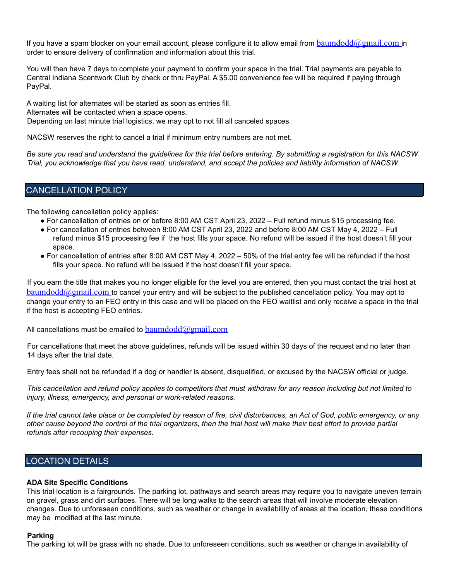If you have a spam blocker on your email account, please configure it to allow email from baumdodd@gmail.com in order to ensure delivery of confirmation and information about this trial.

You will then have 7 days to complete your payment to confirm your space in the trial. Trial payments are payable to Central Indiana Scentwork Club by check or thru PayPal. A \$5.00 convenience fee will be required if paying through PayPal.

A waiting list for alternates will be started as soon as entries fill. Alternates will be contacted when a space opens. Depending on last minute trial logistics, we may opt to not fill all canceled spaces.

NACSW reserves the right to cancel a trial if minimum entry numbers are not met.

Be sure you read and understand the guidelines for this trial before entering. By submitting a registration for this NACSW Trial, you acknowledge that you have read, understand, and accept the policies and liability information of NACSW.

## CANCELLATION POLICY

The following cancellation policy applies:

- For cancellation of entries on or before 8:00 AM CST April 23, 2022 Full refund minus \$15 processing fee.
- For cancellation of entries between 8:00 AM CST April 23, 2022 and before 8:00 AM CST May 4, 2022 Full refund minus \$15 processing fee if the host fills your space. No refund will be issued if the host doesn't fill your space.
- For cancellation of entries after 8:00 AM CST May 4, 2022 50% of the trial entry fee will be refunded if the host fills your space. No refund will be issued if the host doesn't fill your space.

If you earn the title that makes you no longer eligible for the level you are entered, then you must contact the trial host at  $b$ aumdodd $@g$ mail.com to cancel your entry and will be subject to the published cancellation policy. You may opt to change your entry to an FEO entry in this case and will be placed on the FEO waitlist and only receive a space in the trial if the host is accepting FEO entries.

All cancellations must be emailed to  $baumdodd@gmail.com$ 

For cancellations that meet the above guidelines, refunds will be issued within 30 days of the request and no later than 14 days after the trial date.

Entry fees shall not be refunded if a dog or handler is absent, disqualified, or excused by the NACSW official or judge.

This cancellation and refund policy applies to competitors that must withdraw for any reason including but not limited to *injury, illness, emergency, and personal or work-related reasons.*

If the trial cannot take place or be completed by reason of fire, civil disturbances, an Act of God, public emergency, or any other cause beyond the control of the trial organizers, then the trial host will make their best effort to provide partial *refunds after recouping their expenses.*

## LOCATION DETAILS

#### **ADA Site Specific Conditions**

This trial location is a fairgrounds. The parking lot, pathways and search areas may require you to navigate uneven terrain on gravel, grass and dirt surfaces. There will be long walks to the search areas that will involve moderate elevation changes. Due to unforeseen conditions, such as weather or change in availability of areas at the location, these conditions may be modified at the last minute.

#### **Parking**

The parking lot will be grass with no shade. Due to unforeseen conditions, such as weather or change in availability of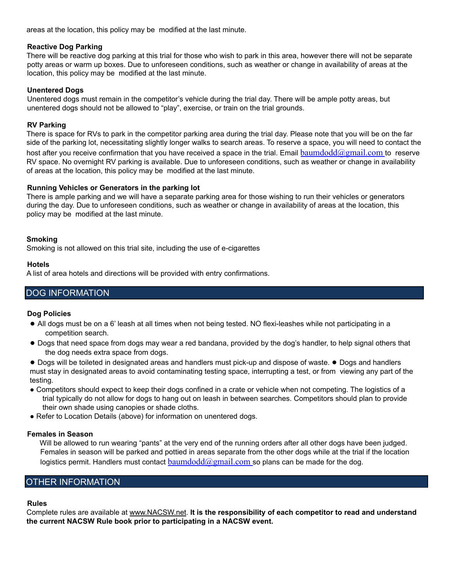areas at the location, this policy may be modified at the last minute.

#### **Reactive Dog Parking**

There will be reactive dog parking at this trial for those who wish to park in this area, however there will not be separate potty areas or warm up boxes. Due to unforeseen conditions, such as weather or change in availability of areas at the location, this policy may be modified at the last minute.

#### **Unentered Dogs**

Unentered dogs must remain in the competitor's vehicle during the trial day. There will be ample potty areas, but unentered dogs should not be allowed to "play", exercise, or train on the trial grounds.

#### **RV Parking**

There is space for RVs to park in the competitor parking area during the trial day. Please note that you will be on the far side of the parking lot, necessitating slightly longer walks to search areas. To reserve a space, you will need to contact the host after you receive confirmation that you have received a space in the trial. Email baumdodd $@g$ mail.com to reserve RV space. No overnight RV parking is available. Due to unforeseen conditions, such as weather or change in availability of areas at the location, this policy may be modified at the last minute.

#### **Running Vehicles or Generators in the parking lot**

There is ample parking and we will have a separate parking area for those wishing to run their vehicles or generators during the day. Due to unforeseen conditions, such as weather or change in availability of areas at the location, this policy may be modified at the last minute.

#### **Smoking**

Smoking is not allowed on this trial site, including the use of e-cigarettes

#### **Hotels**

A list of area hotels and directions will be provided with entry confirmations.

## DOG INFORMATION

#### **Dog Policies**

- All dogs must be on a 6' leash at all times when not being tested. NO flexi-leashes while not participating in a competition search.
- Dogs that need space from dogs may wear a red bandana, provided by the dog's handler, to help signal others that the dog needs extra space from dogs.

● Dogs will be toileted in designated areas and handlers must pick-up and dispose of waste. ● Dogs and handlers must stay in designated areas to avoid contaminating testing space, interrupting a test, or from viewing any part of the testing.

- Competitors should expect to keep their dogs confined in a crate or vehicle when not competing. The logistics of a trial typically do not allow for dogs to hang out on leash in between searches. Competitors should plan to provide their own shade using canopies or shade cloths.
- Refer to Location Details (above) for information on unentered dogs.

#### **Females in Season**

Will be allowed to run wearing "pants" at the very end of the running orders after all other dogs have been judged. Females in season will be parked and pottied in areas separate from the other dogs while at the trial if the location logistics permit. Handlers must contact  $baumdodd@gmail.com$  so plans can be made for the dog.

# OTHER INFORMATION

#### **Rules**

Complete rules are available at www.NACSW.net. **It is the responsibility of each competitor to read and understand the current NACSW Rule book prior to participating in a NACSW event.**